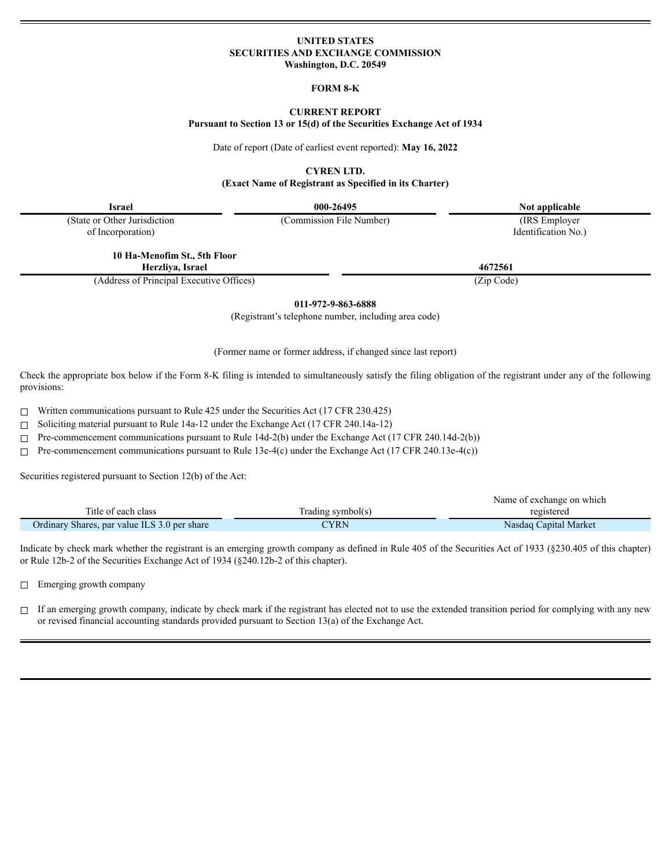### **UNITED STATES SECURITIES AND EXCHANGE COMMISSION Washington, D.C. 20549**

#### **FORM 8-K**

#### **CURRENT REPORT**

**Pursuant to Section 13 or 15(d) of the Securities Exchange Act of 1934**

Date of report (Date of earliest event reported): **May 16, 2022**

**CYREN LTD.**

**(Exact Name of Registrant as Specified in its Charter)**

(State or Other Jurisdiction of Incorporation)

(Commission File Number) (IRS Employer

**Israel 000-26495 Not applicable** Identification No.)

**10 Ha-Menofim St., 5th Floor Herzliya, Israel 4672561**

(Address of Principal Executive Offices) (Zip Code)

**011-972-9-863-6888**

(Registrant's telephone number, including area code)

(Former name or former address, if changed since last report)

Check the appropriate box below if the Form 8-K filing is intended to simultaneously satisfy the filing obligation of the registrant under any of the following provisions:

☐ Written communications pursuant to Rule 425 under the Securities Act (17 CFR 230.425)

☐ Soliciting material pursuant to Rule 14a-12 under the Exchange Act (17 CFR 240.14a-12)

 $\Box$  Pre-commencement communications pursuant to Rule 14d-2(b) under the Exchange Act (17 CFR 240.14d-2(b))

 $\Box$  Pre-commencement communications pursuant to Rule 13e-4(c) under the Exchange Act (17 CFR 240.13e-4(c))

Securities registered pursuant to Section 12(b) of the Act:

|                                              |                   | Name of exchange on which |
|----------------------------------------------|-------------------|---------------------------|
| Title of each class                          | Trading symbol(s) | registered                |
| Ordinary Shares, par value ILS 3.0 per share | TYRN              | Nasdag Capital Market     |

Indicate by check mark whether the registrant is an emerging growth company as defined in Rule 405 of the Securities Act of 1933 (§230.405 of this chapter) or Rule 12b-2 of the Securities Exchange Act of 1934 (§240.12b-2 of this chapter).

□ Emerging growth company

□ If an emerging growth company, indicate by check mark if the registrant has elected not to use the extended transition period for complying with any new or revised financial accounting standards provided pursuant to Section 13(a) of the Exchange Act.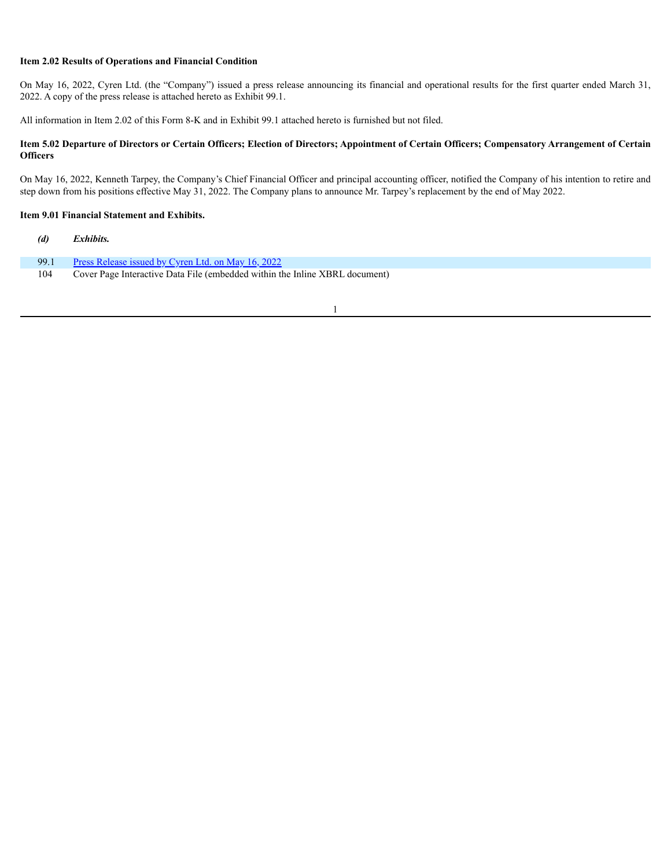### **Item 2.02 Results of Operations and Financial Condition**

On May 16, 2022, Cyren Ltd. (the "Company") issued a press release announcing its financial and operational results for the first quarter ended March 31, 2022. A copy of the press release is attached hereto as Exhibit 99.1.

All information in Item 2.02 of this Form 8-K and in Exhibit 99.1 attached hereto is furnished but not filed.

### Item 5.02 Departure of Directors or Certain Officers; Election of Directors; Appointment of Certain Officers; Compensatory Arrangement of Certain **Officers**

On May 16, 2022, Kenneth Tarpey, the Company's Chief Financial Officer and principal accounting officer, notified the Company of his intention to retire and step down from his positions effective May 31, 2022. The Company plans to announce Mr. Tarpey's replacement by the end of May 2022.

#### **Item 9.01 Financial Statement and Exhibits.**

*(d) Exhibits.*

| 99.1 Press Release issued by Cyren Ltd. on May 16, 2022                     |
|-----------------------------------------------------------------------------|
| Cover Page Interactive Data File (embedded within the Inline XBRL document) |
|                                                                             |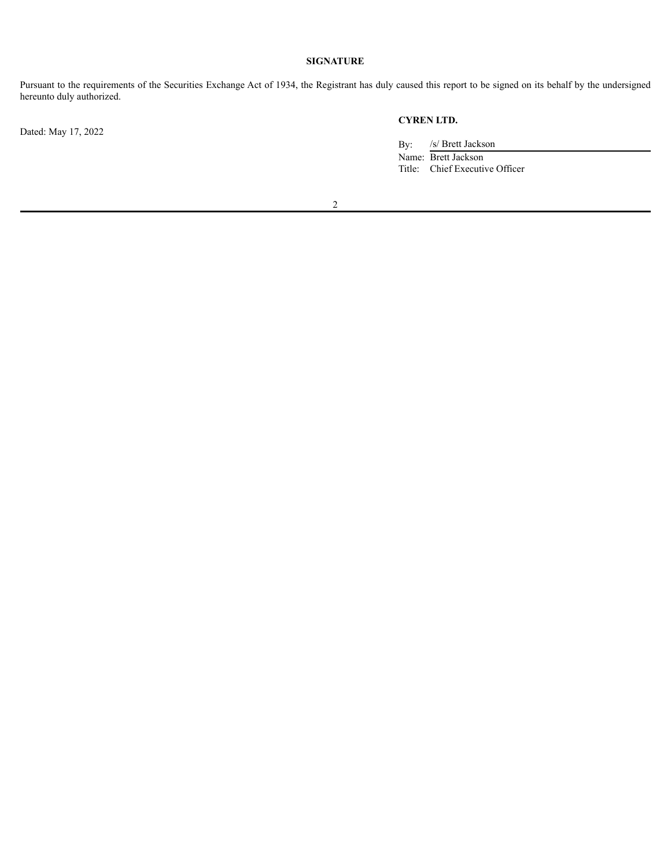### **SIGNATURE**

Pursuant to the requirements of the Securities Exchange Act of 1934, the Registrant has duly caused this report to be signed on its behalf by the undersigned hereunto duly authorized.

Dated: May 17, 2022

# **CYREN LTD.**

By: /s/ Brett Jackson

Name: Brett Jackson Title: Chief Executive Officer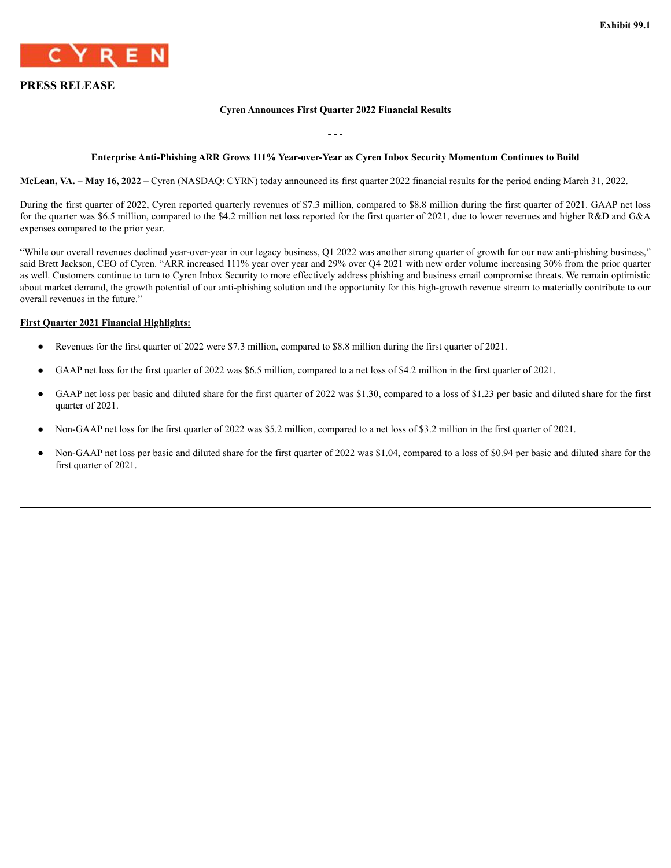

# **PRESS RELEASE**

### **Cyren Announces First Quarter 2022 Financial Results**

**- - -**

#### **Enterprise Anti-Phishing ARR Grows 111% Year-over-Year as Cyren Inbox Security Momentum Continues to Build**

**McLean, VA. – May 16, 2022 –** Cyren (NASDAQ: CYRN) today announced its first quarter 2022 financial results for the period ending March 31, 2022.

During the first quarter of 2022, Cyren reported quarterly revenues of \$7.3 million, compared to \$8.8 million during the first quarter of 2021. GAAP net loss for the quarter was \$6.5 million, compared to the \$4.2 million net loss reported for the first quarter of 2021, due to lower revenues and higher R&D and G&A expenses compared to the prior year.

"While our overall revenues declined year-over-year in our legacy business, Q1 2022 was another strong quarter of growth for our new anti-phishing business," said Brett Jackson, CEO of Cyren. "ARR increased 111% year over year and 29% over Q4 2021 with new order volume increasing 30% from the prior quarter as well. Customers continue to turn to Cyren Inbox Security to more effectively address phishing and business email compromise threats. We remain optimistic about market demand, the growth potential of our anti-phishing solution and the opportunity for this high-growth revenue stream to materially contribute to our overall revenues in the future."

#### **First Quarter 2021 Financial Highlights:**

- Revenues for the first quarter of 2022 were \$7.3 million, compared to \$8.8 million during the first quarter of 2021.
- GAAP net loss for the first quarter of 2022 was \$6.5 million, compared to a net loss of \$4.2 million in the first quarter of 2021.
- GAAP net loss per basic and diluted share for the first quarter of 2022 was \$1.30, compared to a loss of \$1.23 per basic and diluted share for the first quarter of 2021.
- Non-GAAP net loss for the first quarter of 2022 was \$5.2 million, compared to a net loss of \$3.2 million in the first quarter of 2021.
- Non-GAAP net loss per basic and diluted share for the first quarter of 2022 was \$1.04, compared to a loss of \$0.94 per basic and diluted share for the first quarter of 2021.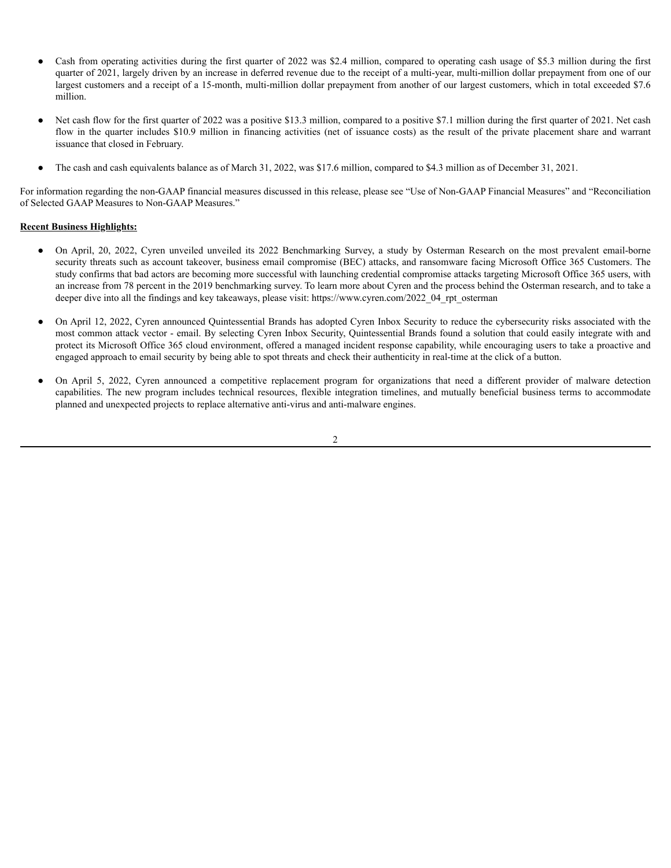- Cash from operating activities during the first quarter of 2022 was \$2.4 million, compared to operating cash usage of \$5.3 million during the first quarter of 2021, largely driven by an increase in deferred revenue due to the receipt of a multi-year, multi-million dollar prepayment from one of our largest customers and a receipt of a 15-month, multi-million dollar prepayment from another of our largest customers, which in total exceeded \$7.6 million.
- Net cash flow for the first quarter of 2022 was a positive \$13.3 million, compared to a positive \$7.1 million during the first quarter of 2021. Net cash flow in the quarter includes \$10.9 million in financing activities (net of issuance costs) as the result of the private placement share and warrant issuance that closed in February.
- The cash and cash equivalents balance as of March 31, 2022, was \$17.6 million, compared to \$4.3 million as of December 31, 2021.

For information regarding the non-GAAP financial measures discussed in this release, please see "Use of Non-GAAP Financial Measures" and "Reconciliation of Selected GAAP Measures to Non-GAAP Measures."

#### **Recent Business Highlights:**

- On April, 20, 2022, Cyren unveiled unveiled its 2022 Benchmarking Survey, a study by Osterman Research on the most prevalent email-borne security threats such as account takeover, business email compromise (BEC) attacks, and ransomware facing Microsoft Office 365 Customers. The study confirms that bad actors are becoming more successful with launching credential compromise attacks targeting Microsoft Office 365 users, with an increase from 78 percent in the 2019 benchmarking survey. To learn more about Cyren and the process behind the Osterman research, and to take a deeper dive into all the findings and key takeaways, please visit: https://www.cyren.com/2022\_04\_rpt\_osterman
- On April 12, 2022, Cyren announced Quintessential Brands has adopted Cyren Inbox Security to reduce the cybersecurity risks associated with the most common attack vector - email. By selecting Cyren Inbox Security, Quintessential Brands found a solution that could easily integrate with and protect its Microsoft Office 365 cloud environment, offered a managed incident response capability, while encouraging users to take a proactive and engaged approach to email security by being able to spot threats and check their authenticity in real-time at the click of a button.
- On April 5, 2022, Cyren announced a competitive replacement program for organizations that need a different provider of malware detection capabilities. The new program includes technical resources, flexible integration timelines, and mutually beneficial business terms to accommodate planned and unexpected projects to replace alternative anti-virus and anti-malware engines.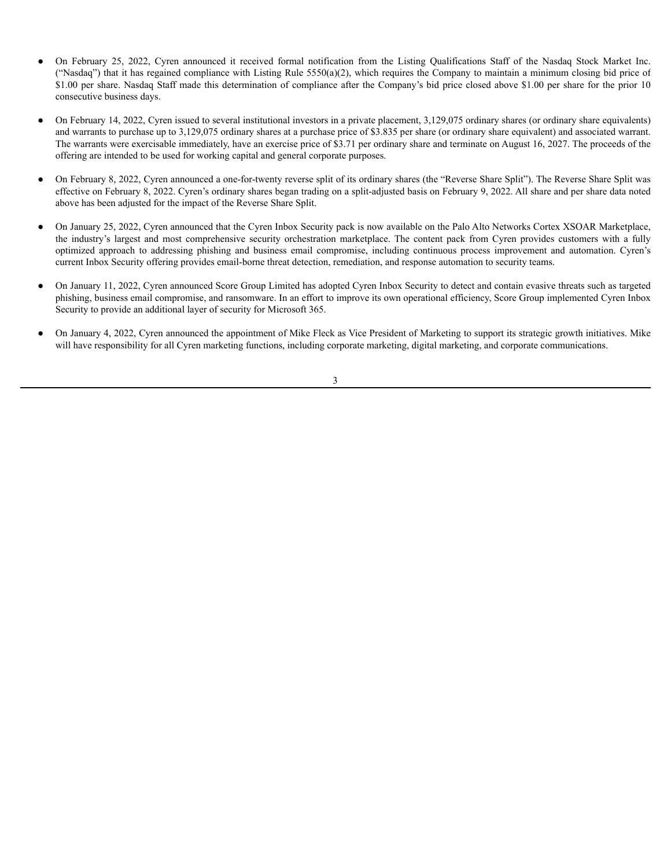- On February 25, 2022, Cyren announced it received formal notification from the Listing Qualifications Staff of the Nasdaq Stock Market Inc. ("Nasdaq") that it has regained compliance with Listing Rule  $5550(a)(2)$ , which requires the Company to maintain a minimum closing bid price of \$1.00 per share. Nasdaq Staff made this determination of compliance after the Company's bid price closed above \$1.00 per share for the prior 10 consecutive business days.
- On February 14, 2022, Cyren issued to several institutional investors in a private placement, 3,129,075 ordinary shares (or ordinary share equivalents) and warrants to purchase up to 3,129,075 ordinary shares at a purchase price of \$3.835 per share (or ordinary share equivalent) and associated warrant. The warrants were exercisable immediately, have an exercise price of \$3.71 per ordinary share and terminate on August 16, 2027. The proceeds of the offering are intended to be used for working capital and general corporate purposes.
- On February 8, 2022, Cyren announced a one-for-twenty reverse split of its ordinary shares (the "Reverse Share Split"). The Reverse Share Split was effective on February 8, 2022. Cyren's ordinary shares began trading on a split-adjusted basis on February 9, 2022. All share and per share data noted above has been adjusted for the impact of the Reverse Share Split.
- On January 25, 2022, Cyren announced that the Cyren Inbox Security pack is now available on the Palo Alto Networks Cortex XSOAR Marketplace, the industry's largest and most comprehensive security orchestration marketplace. The content pack from Cyren provides customers with a fully optimized approach to addressing phishing and business email compromise, including continuous process improvement and automation. Cyren's current Inbox Security offering provides email-borne threat detection, remediation, and response automation to security teams.
- On January 11, 2022, Cyren announced Score Group Limited has adopted Cyren Inbox Security to detect and contain evasive threats such as targeted phishing, business email compromise, and ransomware. In an effort to improve its own operational efficiency, Score Group implemented Cyren Inbox Security to provide an additional layer of security for Microsoft 365.
- On January 4, 2022, Cyren announced the appointment of Mike Fleck as Vice President of Marketing to support its strategic growth initiatives. Mike will have responsibility for all Cyren marketing functions, including corporate marketing, digital marketing, and corporate communications.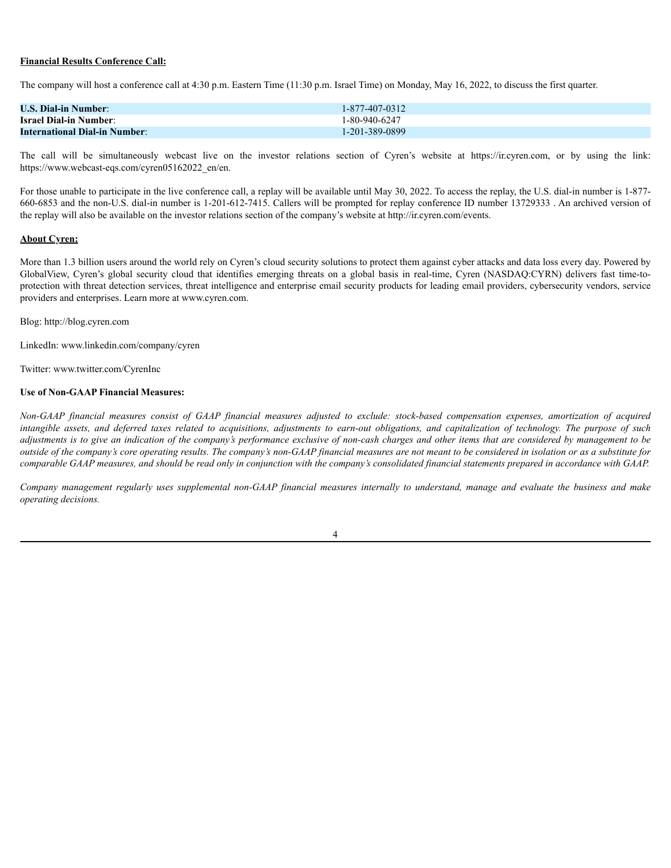### **Financial Results Conference Call:**

The company will host a conference call at 4:30 p.m. Eastern Time (11:30 p.m. Israel Time) on Monday, May 16, 2022, to discuss the first quarter.

| <b>U.S. Dial-in Number:</b>          | 1-877-407-0312 |
|--------------------------------------|----------------|
| <b>Israel Dial-in Number:</b>        | 1-80-940-6247  |
| <b>International Dial-in Number:</b> | 1-201-389-0899 |

The call will be simultaneously webcast live on the investor relations section of Cyren's website at https://ir.cyren.com, or by using the link: https://www.webcast-eqs.com/cyren05162022\_en/en.

For those unable to participate in the live conference call, a replay will be available until May 30, 2022. To access the replay, the U.S. dial-in number is 1-877-660-6853 and the non-U.S. dial-in number is 1-201-612-7415. Callers will be prompted for replay conference ID number 13729333 . An archived version of the replay will also be available on the investor relations section of the company's website at http://ir.cyren.com/events.

#### **About Cyren:**

More than 1.3 billion users around the world rely on Cyren's cloud security solutions to protect them against cyber attacks and data loss every day. Powered by GlobalView, Cyren's global security cloud that identifies emerging threats on a global basis in real-time, Cyren (NASDAQ:CYRN) delivers fast time-toprotection with threat detection services, threat intelligence and enterprise email security products for leading email providers, cybersecurity vendors, service providers and enterprises. Learn more at www.cyren.com.

Blog: http://blog.cyren.com

LinkedIn: www.linkedin.com/company/cyren

Twitter: www.twitter.com/CyrenInc

### **Use of Non-GAAP Financial Measures:**

Non-GAAP financial measures consist of GAAP financial measures adjusted to exclude: stock-based compensation expenses, amortization of acquired intangible assets, and deferred taxes related to acquisitions, adjustments to earn-out obligations, and capitalization of technology. The purpose of such adjustments is to give an indication of the company's performance exclusive of non-cash charges and other items that are considered by management to be outside of the company's core operating results. The company's non-GAAP financial measures are not meant to be considered in isolation or as a substitute for comparable GAAP measures, and should be read only in conjunction with the company's consolidated financial statements prepared in accordance with GAAP.

Company management regularly uses supplemental non-GAAP financial measures internally to understand, manage and evaluate the business and make *operating decisions.*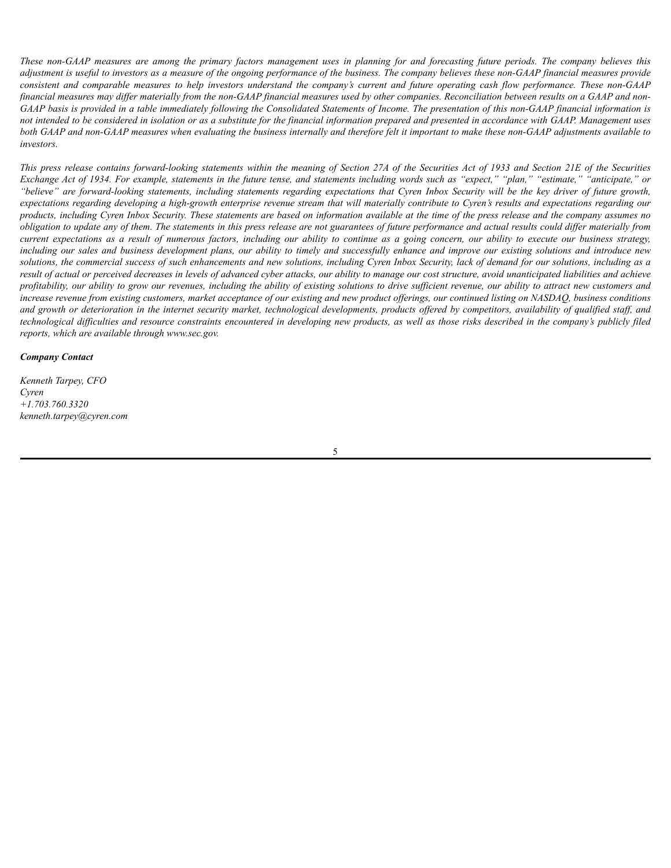These non-GAAP measures are among the primary factors management uses in planning for and forecasting future periods. The company believes this adjustment is useful to investors as a measure of the ongoing performance of the business. The company believes these non-GAAP financial measures provide consistent and comparable measures to help investors understand the company's current and future operating cash flow performance. These non-GAAP financial measures may differ materially from the non-GAAP financial measures used by other companies. Reconciliation between results on a GAAP and non-GAAP basis is provided in a table immediately following the Consolidated Statements of Income. The presentation of this non-GAAP financial information is not intended to be considered in isolation or as a substitute for the financial information prepared and presented in accordance with GAAP. Management uses both GAAP and non-GAAP measures when evaluating the business internally and therefore felt it important to make these non-GAAP adjustments available to *investors.*

This press release contains forward-looking statements within the meaning of Section 27A of the Securities Act of 1933 and Section 21E of the Securities Exchange Act of 1934. For example, statements in the future tense, and statements including words such as "expect," "plan," "estimate," "anticipate," or "believe" are forward-looking statements, including statements regarding expectations that Cyren Inbox Security will be the key driver of future growth, expectations regarding developing a high-growth enterprise revenue stream that will materially contribute to Cyren's results and expectations regarding our products, including Cyren Inbox Security. These statements are based on information available at the time of the press release and the company assumes no obligation to update any of them. The statements in this press release are not guarantees of future performance and actual results could differ materially from current expectations as a result of numerous factors, including our ability to continue as a going concern, our ability to execute our business strategy, including our sales and business development plans, our ability to timely and successfully enhance and improve our existing solutions and introduce new solutions, the commercial success of such enhancements and new solutions, including Cyren Inbox Security, lack of demand for our solutions, including as a result of actual or perceived decreases in levels of advanced cyber attacks, our ability to manage our cost structure, avoid unanticipated liabilities and achieve profitability, our ability to grow our revenues, including the ability of existing solutions to drive sufficient revenue, our ability to attract new customers and increase revenue from existing customers, market acceptance of our existing and new product offerings, our continued listing on NASDAO, business conditions and growth or deterioration in the internet security market, technological developments, products offered by competitors, availability of qualified staff, and technological difficulties and resource constraints encountered in developing new products, as well as those risks described in the company's publicly filed *reports, which are available through www.sec.gov.*

#### *Company Contact*

*Kenneth Tarpey, CFO Cyren +1.703.760.3320 kenneth.tarpey@cyren.com*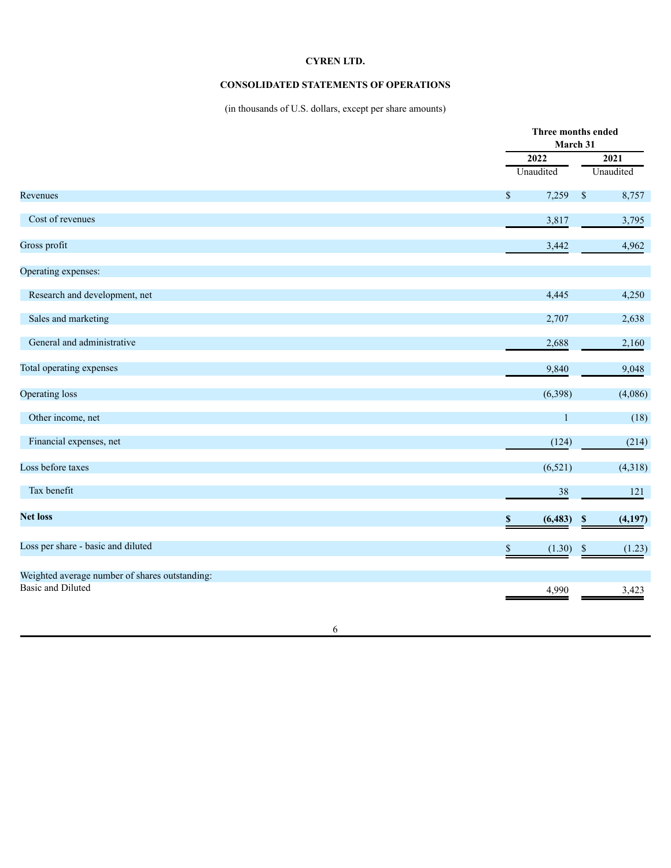# **CONSOLIDATED STATEMENTS OF OPERATIONS**

(in thousands of U.S. dollars, except per share amounts)

|                                                |                      | Three months ended<br>March 31       |  |  |
|------------------------------------------------|----------------------|--------------------------------------|--|--|
|                                                | 2022                 | 2021                                 |  |  |
|                                                | Unaudited            | Unaudited                            |  |  |
| Revenues                                       | $\mathbb S$<br>7,259 | $\mathbb S$<br>8,757                 |  |  |
| Cost of revenues                               | 3,817                | 3,795                                |  |  |
| Gross profit                                   | 3,442                | 4,962                                |  |  |
| Operating expenses:                            |                      |                                      |  |  |
| Research and development, net                  | 4,445                | 4,250                                |  |  |
| Sales and marketing                            | 2,707                | 2,638                                |  |  |
| General and administrative                     | 2,688                | 2,160                                |  |  |
| Total operating expenses                       | 9,840                | 9,048                                |  |  |
| Operating loss                                 | (6,398)              | (4,086)                              |  |  |
| Other income, net                              | $\mathbf{1}$         | (18)                                 |  |  |
| Financial expenses, net                        | (124)                | (214)                                |  |  |
| Loss before taxes                              | (6, 521)             | (4,318)                              |  |  |
| Tax benefit                                    | 38                   | 121                                  |  |  |
| <b>Net loss</b>                                | \$<br>(6, 483)       | (4,197)<br>$\boldsymbol{\mathsf{s}}$ |  |  |
| Loss per share - basic and diluted             | (1.30)<br>\$         | (1.23)<br>$\boldsymbol{\mathsf{S}}$  |  |  |
| Weighted average number of shares outstanding: |                      |                                      |  |  |
| <b>Basic and Diluted</b>                       | 4,990                | 3,423                                |  |  |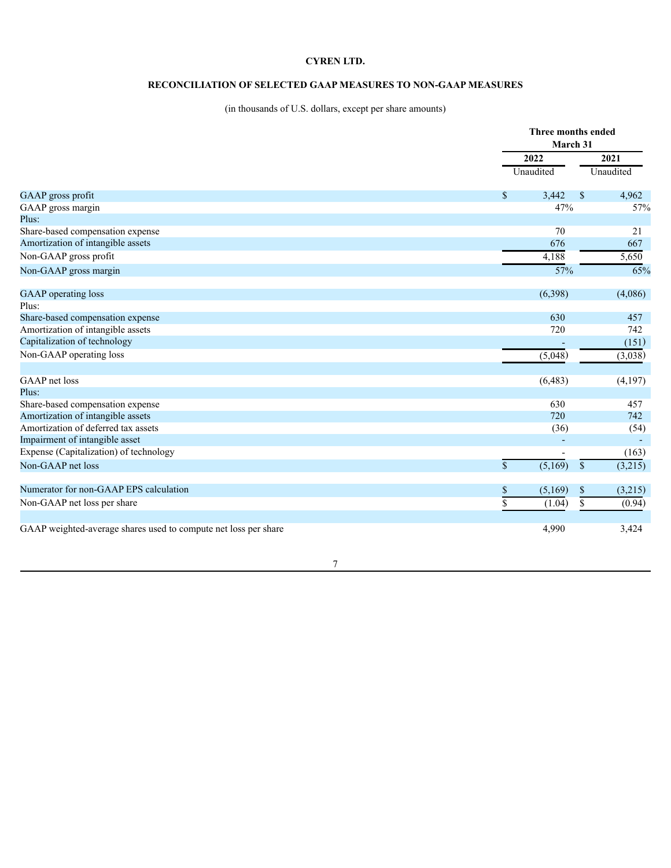# **RECONCILIATION OF SELECTED GAAP MEASURES TO NON-GAAP MEASURES**

# (in thousands of U.S. dollars, except per share amounts)

|                                                                 |               | Three months ended<br>March 31 |                   |  |
|-----------------------------------------------------------------|---------------|--------------------------------|-------------------|--|
|                                                                 | 2022          |                                | 2021<br>Unaudited |  |
|                                                                 | Unaudited     |                                |                   |  |
| GAAP gross profit                                               | \$<br>3,442   | $\mathbb{S}$                   | 4,962             |  |
| GAAP gross margin                                               |               | 47%                            | 57%               |  |
| Plus:                                                           |               |                                |                   |  |
| Share-based compensation expense                                |               | 70                             | 21                |  |
| Amortization of intangible assets                               |               | 676                            | 667               |  |
| Non-GAAP gross profit                                           | 4,188         |                                | 5,650             |  |
| Non-GAAP gross margin                                           |               | 57%                            | 65%               |  |
| <b>GAAP</b> operating loss                                      | (6,398)       |                                | (4,086)           |  |
| Plus:                                                           |               |                                |                   |  |
| Share-based compensation expense                                |               | 630                            | 457               |  |
| Amortization of intangible assets                               |               | 720                            | 742               |  |
| Capitalization of technology                                    |               |                                | (151)             |  |
| Non-GAAP operating loss                                         | (5,048)       |                                | (3,038)           |  |
| GAAP net loss                                                   | (6, 483)      |                                | (4,197)           |  |
| Plus:                                                           |               |                                |                   |  |
| Share-based compensation expense                                |               | 630                            | 457               |  |
| Amortization of intangible assets                               |               | 720                            | 742               |  |
| Amortization of deferred tax assets                             |               | (36)                           | (54)              |  |
| Impairment of intangible asset                                  |               |                                |                   |  |
| Expense (Capitalization) of technology                          |               |                                | (163)             |  |
| Non-GAAP net loss                                               | \$<br>(5,169) | $\mathbb{S}$                   | (3,215)           |  |
| Numerator for non-GAAP EPS calculation                          | \$<br>(5,169) | $\mathbb{S}$                   | (3,215)           |  |
| Non-GAAP net loss per share                                     | \$            | (1.04)<br>\$                   | (0.94)            |  |
| GAAP weighted-average shares used to compute net loss per share | 4,990         |                                | 3,424             |  |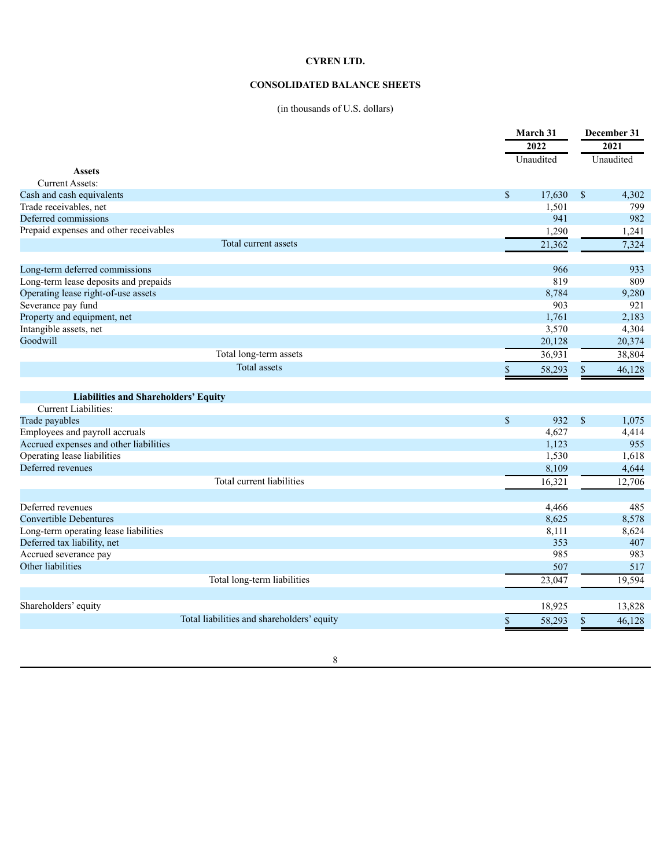# **CONSOLIDATED BALANCE SHEETS**

# (in thousands of U.S. dollars)

|                                             |                                            |               | March 31<br>2022 |                           | December 31<br>2021 |  |
|---------------------------------------------|--------------------------------------------|---------------|------------------|---------------------------|---------------------|--|
|                                             |                                            |               |                  |                           |                     |  |
|                                             |                                            |               | Unaudited        |                           | Unaudited           |  |
| <b>Assets</b>                               |                                            |               |                  |                           |                     |  |
| <b>Current Assets:</b>                      |                                            |               |                  |                           |                     |  |
| Cash and cash equivalents                   |                                            | $\$$          | 17,630           | $\mathbb{S}$              | 4,302               |  |
| Trade receivables, net                      |                                            |               | 1,501            |                           | 799                 |  |
| Deferred commissions                        |                                            |               | 941              |                           | 982                 |  |
| Prepaid expenses and other receivables      |                                            |               | 1,290            |                           | 1,241               |  |
|                                             | Total current assets                       |               | 21,362           |                           | 7,324               |  |
| Long-term deferred commissions              |                                            |               | 966              |                           | 933                 |  |
| Long-term lease deposits and prepaids       |                                            |               | 819              |                           | 809                 |  |
| Operating lease right-of-use assets         |                                            |               | 8,784            |                           | 9,280               |  |
| Severance pay fund                          |                                            |               | 903              |                           | 921                 |  |
| Property and equipment, net                 |                                            |               | 1,761            |                           | 2,183               |  |
| Intangible assets, net                      |                                            |               | 3,570            |                           | 4,304               |  |
| Goodwill                                    |                                            |               | 20,128           |                           | 20,374              |  |
|                                             | Total long-term assets                     |               | 36,931           |                           | 38,804              |  |
|                                             | <b>Total assets</b>                        | S             | 58,293           | S                         | 46,128              |  |
|                                             |                                            |               |                  |                           |                     |  |
| <b>Liabilities and Shareholders' Equity</b> |                                            |               |                  |                           |                     |  |
| <b>Current Liabilities:</b>                 |                                            |               |                  |                           |                     |  |
| Trade payables                              |                                            | $\mathsf{\$}$ | 932              | $\boldsymbol{\mathsf{S}}$ | 1,075               |  |
| Employees and payroll accruals              |                                            |               | 4,627            |                           | 4,414               |  |
| Accrued expenses and other liabilities      |                                            |               | 1,123            |                           | 955                 |  |
| Operating lease liabilities                 |                                            |               | 1,530            |                           | 1,618               |  |
| Deferred revenues                           |                                            |               | 8,109            |                           | 4,644               |  |
|                                             | Total current liabilities                  |               | 16,321           |                           | 12,706              |  |
| Deferred revenues                           |                                            |               | 4,466            |                           | 485                 |  |
| <b>Convertible Debentures</b>               |                                            |               | 8,625            |                           | 8,578               |  |
| Long-term operating lease liabilities       |                                            |               | 8,111            |                           | 8,624               |  |
| Deferred tax liability, net                 |                                            |               | 353              |                           | 407                 |  |
| Accrued severance pay                       |                                            |               | 985              |                           | 983                 |  |
| Other liabilities                           |                                            |               | 507              |                           | 517                 |  |
|                                             | Total long-term liabilities                |               | 23,047           |                           | 19,594              |  |
| Shareholders' equity                        |                                            |               | 18,925           |                           | 13,828              |  |
|                                             |                                            |               |                  |                           |                     |  |
|                                             | Total liabilities and shareholders' equity | \$            | 58,293           | \$                        | 46,128              |  |